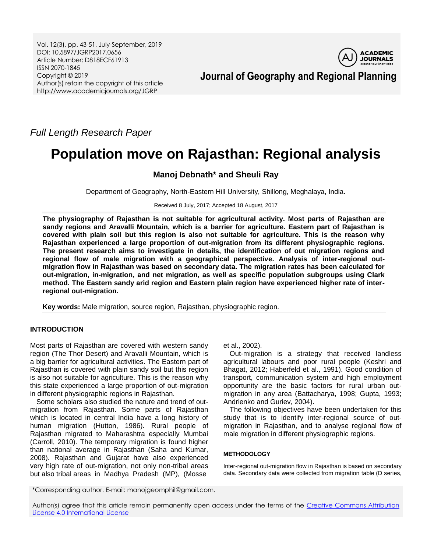Vol. 12(3), pp. 43-51, July-September, 2019 DOI: 10.5897/JGRP2017.0656 Article Number: D818ECF61913 ISSN 2070-1845 Copyright © 2019 Author(s) retain the copyright of this article http://www.academicjournals.org/JGRP



*Full Length Research Paper*

# **Population move on Rajasthan: Regional analysis**

# **Manoj Debnath\* and Sheuli Ray**

Department of Geography, North-Eastern Hill University, Shillong, Meghalaya, India.

Received 8 July, 2017; Accepted 18 August, 2017

**The physiography of Rajasthan is not suitable for agricultural activity. Most parts of Rajasthan are sandy regions and Aravalli Mountain, which is a barrier for agriculture. Eastern part of Rajasthan is covered with plain soil but this region is also not suitable for agriculture. This is the reason why Rajasthan experienced a large proportion of out-migration from its different physiographic regions. The present research aims to investigate in details, the identification of out migration regions and regional flow of male migration with a geographical perspective. Analysis of inter-regional outmigration flow in Rajasthan was based on secondary data. The migration rates has been calculated for out-migration, in-migration, and net migration, as well as specific population subgroups using Clark method. The Eastern sandy arid region and Eastern plain region have experienced higher rate of interregional out-migration.**

**Key words:** Male migration, source region, Rajasthan, physiographic region.

## **INTRODUCTION**

Most parts of Rajasthan are covered with western sandy region (The Thor Desert) and Aravalli Mountain, which is a big barrier for agricultural activities. The Eastern part of Rajasthan is covered with plain sandy soil but this region is also not suitable for agriculture. This is the reason why this state experienced a large proportion of out-migration in different physiographic regions in Rajasthan.

Some scholars also studied the nature and trend of outmigration from Rajasthan. Some parts of Rajasthan which is located in central India have a long history of human migration (Hutton, 1986). Rural people of Rajasthan migrated to Maharashtra especially Mumbai (Carroll, 2010). The temporary migration is found higher than national average in Rajasthan (Saha and Kumar, 2008). Rajasthan and Gujarat have also experienced very high rate of out-migration, not only non-tribal areas but also tribal areas in Madhya Pradesh (MP), (Mosse

et al., 2002).

Out-migration is a strategy that received landless agricultural labours and poor rural people (Keshri and Bhagat, 2012; Haberfeld et al., 1991). Good condition of transport, communication system and high employment opportunity are the basic factors for rural urban outmigration in any area (Battacharya, 1998; Gupta, 1993; Andrienko and Guriev, 2004).

The following objectives have been undertaken for this study that is to identify inter-regional source of outmigration in Rajasthan, and to analyse regional flow of male migration in different physiographic regions.

### **METHODOLOGY**

Inter-regional out-migration flow in Rajasthan is based on secondary data. Secondary data were collected from migration table (D series,

\*Corresponding author. E-mail: manojgeomphil@gmail.com.

Author(s) agree that this article remain permanently open access under the terms of the Creative Commons Attribution [License 4.0 International License](http://creativecommons.org/licenses/by/4.0/deed.en_US)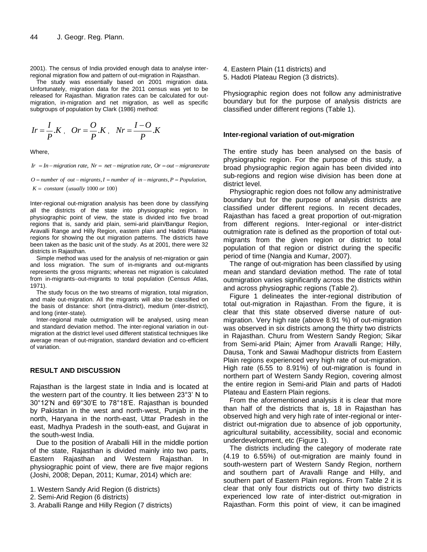2001). The census of India provided enough data to analyse interregional migration flow and pattern of out-migration in Rajasthan.

The study was essentially based on 2001 migration data. Unfortunately, migration data for the 2011 census was yet to be released for Rajasthan. Migration rates can be calculated for outmigration, in-migration and net migration, as well as specific subgroups of population by Clark (1986) method:

$$
Ir = \frac{I}{P} .K \,, \quad Or = \frac{O}{P} .K \,, \quad Nr = \frac{I-O}{P} .K
$$

Where,

*Ir = In–migration rate, Nr = net –migration rate, Or = out –migrantsrate* 

 $K = constant$  (usually 1000 or 100) Ir = In–migration rate,  $Nr = net - migration$  rate,  $Or = out - migrants$ <br>  $O = number of out - migrants, I = number of in - migrants, P = Population,$ *F* = *In*=*nugration rate,*  $M - T$ *<br><i>D* = *number of out* – *migrants*, *I*<br>*K* = *constant* (*usually* 1000 *or*  $= In-migration$  rate,  $Nr = net-migration$  rate,  $Or = out-migrantsra$ <br> $= number of out-migrants, I = number of in-migrants, P = Population$ 

Inter-regional out-migration analysis has been done by classifying all the districts of the state into physiographic region. In physiographic point of view, the state is divided into five broad regions that is, sandy arid plain, semi-arid plain/Bangur Region, Aravalli Range and Hilly Region, eastern plain and Hadoti Plateau regions for showing the out migration patterns. The districts have been taken as the basic unit of the study. As at 2001, there were 32 districts in Rajasthan.

Simple method was used for the analysis of net-migration or gain and loss migration. The sum of in-migrants and out-migrants represents the gross migrants; whereas net migration is calculated from in-migrants-out-migrants to total population (Census Atlas, 1971).

The study focus on the two streams of migration, total migration, and male out-migration. All the migrants will also be classified on the basis of distance: short (intra-district), medium (inter-district), and long (inter-state).

Inter-regional male outmigration will be analysed, using mean and standard deviation method. The inter-regional variation in outmigration at the district level used different statistical techniques like average mean of out-migration, standard deviation and co-efficient of variation.

#### **RESULT AND DISCUSSION**

Rajasthan is the largest state in India and is located at the western part of the country. It lies between 23°3' N to 30°12'N and 69°30'E to 78°18'E. Rajasthan is bounded by Pakistan in the west and north-west, Punjab in the north, Haryana in the north-east, Uttar Pradesh in the east, Madhya Pradesh in the south-east, and Gujarat in the south-west India.

Due to the position of Araballi Hill in the middle portion of the state, Rajasthan is divided mainly into two parts, Eastern Rajasthan and Western Rajasthan. In physiographic point of view, there are five major regions (Joshi, 2008; Depan, 2011; Kumar, 2014) which are:

- 1. Western Sandy Arid Region (6 districts)
- 2. Semi-Arid Region (6 districts)
- 3. Araballi Range and Hilly Region (7 districts)
- 4. Eastern Plain (11 districts) and
- 5. Hadoti Plateau Region (3 districts).

Physiographic region does not follow any administrative boundary but for the purpose of analysis districts are classified under different regions (Table 1).

#### **Inter-regional variation of out-migration**

The entire study has been analysed on the basis of physiographic region. For the purpose of this study, a broad physiographic region again has been divided into sub-regions and region wise division has been done at district level.

Physiographic region does not follow any administrative boundary but for the purpose of analysis districts are classified under different regions. In recent decades, Rajasthan has faced a great proportion of out-migration from different regions. Inter-regional or inter-district outmigration rate is defined as the proportion of total outmigrants from the given region or district to total population of that region or district during the specific period of time (Nangia and Kumar, 2007).

The range of out-migration has been classified by using mean and standard deviation method. The rate of total outmigration varies significantly across the districts within and across physiographic regions (Table 2).

Figure 1 delineates the inter-regional distribution of total out-migration in Rajasthan. From the figure, it is clear that this state observed diverse nature of outmigration. Very high rate (above 8.91 %) of out-migration was observed in six districts among the thirty two districts in Rajasthan. Churu from Western Sandy Region; Sikar from Semi-arid Plain; Ajmer from Aravalli Range; Hilly, Dausa, Tonk and Sawai Madhopur districts from Eastern Plain regions experienced very high rate of out-migration. High rate (6.55 to 8.91%) of out-migration is found in northern part of Western Sandy Region, covering almost the entire region in Semi-arid Plain and parts of Hadoti Plateau and Eastern Plain regions.

From the aforementioned analysis it is clear that more than half of the districts that is, 18 in Rajasthan has observed high and very high rate of inter-regional or interdistrict out-migration due to absence of job opportunity, agricultural suitability, accessibility, social and economic underdevelopment, etc (Figure 1).

The districts including the category of moderate rate (4.19 to 6.55%) of out-migration are mainly found in south-western part of Western Sandy Region, northern and southern part of Aravalli Range and Hilly, and southern part of Eastern Plain regions. From Table 2 it is clear that only four districts out of thirty two districts experienced low rate of inter-district out-migration in Rajasthan. Form this point of view, it can be imagined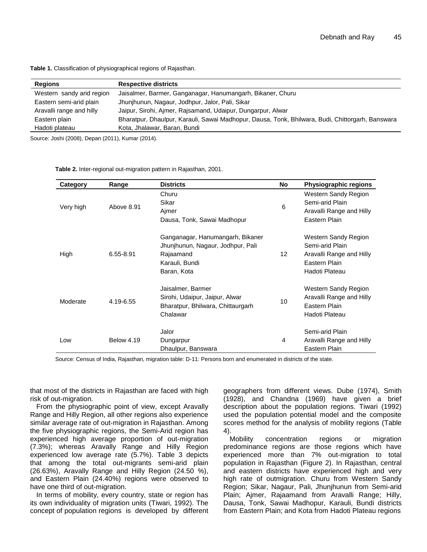| Regions                   | <b>Respective districts</b>                                                                      |
|---------------------------|--------------------------------------------------------------------------------------------------|
| Western sandy arid region | Jaisalmer, Barmer, Ganganagar, Hanumangarh, Bikaner, Churu                                       |
| Eastern semi-arid plain   | Jhunjhunun, Nagaur, Jodhpur, Jalor, Pali, Sikar                                                  |
| Aravalli range and hilly  | Jaipur, Sirohi, Ajmer, Rajsamand, Udaipur, Dungarpur, Alwar                                      |
| Eastern plain             | Bharatpur, Dhaulpur, Karauli, Sawai Madhopur, Dausa, Tonk, Bhilwara, Budi, Chittorgarh, Banswara |
| Hadoti plateau            | Kota, Jhalawar, Baran, Bundi                                                                     |

**Table 1.** Classification of physiographical regions of Rajasthan.

Source: Joshi (2008), Depan (2011), Kumar (2014).

**Table 2.** Inter-regional out-migration pattern in Rajasthan, 2001.

| Category  | Range             | <b>Districts</b>                                                                                                    | <b>No</b>       | Physiographic regions                                                                                  |
|-----------|-------------------|---------------------------------------------------------------------------------------------------------------------|-----------------|--------------------------------------------------------------------------------------------------------|
| Very high | Above 8.91        | Churu<br>Sikar<br>Ajmer<br>Dausa, Tonk, Sawai Madhopur                                                              | 6               | Western Sandy Region<br>Semi-arid Plain<br>Aravalli Range and Hilly<br>Eastern Plain                   |
| High      | 6.55-8.91         | Ganganagar, Hanumangarh, Bikaner<br>Jhunjhunun, Nagaur, Jodhpur, Pali<br>Rajaamand<br>Karauli, Bundi<br>Baran, Kota | 12 <sup>2</sup> | Western Sandy Region<br>Semi-arid Plain<br>Aravalli Range and Hilly<br>Eastern Plain<br>Hadoti Plateau |
| Moderate  | 4.19-6.55         | Jaisalmer, Barmer<br>Sirohi, Udaipur, Jaipur, Alwar<br>Bharatpur, Bhilwara, Chittaurgarh<br>Chalawar                | 10              | Western Sandy Region<br>Aravalli Range and Hilly<br>Eastern Plain<br>Hadoti Plateau                    |
| Low       | <b>Below 4.19</b> | Jalor<br>Dungarpur<br>Dhaulpur, Banswara                                                                            | 4               | Semi-arid Plain<br>Aravalli Range and Hilly<br>Eastern Plain                                           |

Source: Census of India, Rajasthan, migration table: D-11: Persons born and enumerated in districts of the state.

that most of the districts in Rajasthan are faced with high risk of out-migration.

From the physiographic point of view, except Aravally Range and Hilly Region, all other regions also experience similar average rate of out-migration in Rajasthan. Among the five physiographic regions, the Semi-Arid region has experienced high average proportion of out-migration (7.3%); whereas Aravally Range and Hilly Region experienced low average rate (5.7%). Table 3 depicts that among the total out-migrants semi-arid plain (26.63%), Aravally Range and Hilly Region (24.50 %), and Eastern Plain (24.40%) regions were observed to have one third of out-migration.

In terms of mobility, every country, state or region has its own individuality of migration units (Tiwari, 1992). The concept of population regions is developed by different

geographers from different views. Dube (1974), Smith (1928), and Chandna (1969) have given a brief description about the population regions. Tiwari (1992) used the population potential model and the composite scores method for the analysis of mobility regions (Table 4).

Mobility concentration regions or migration predominance regions are those regions which have experienced more than 7% out-migration to total population in Rajasthan (Figure 2). In Rajasthan, central and eastern districts have experienced high and very high rate of outmigration. Churu from Western Sandy Region; Sikar, Nagaur, Pali, Jhunjhunun from Semi-arid Plain; Ajmer, Rajaamand from Aravalli Range; Hilly, Dausa, Tonk, Sawai Madhopur, Karauli, Bundi districts from Eastern Plain; and Kota from Hadoti Plateau regions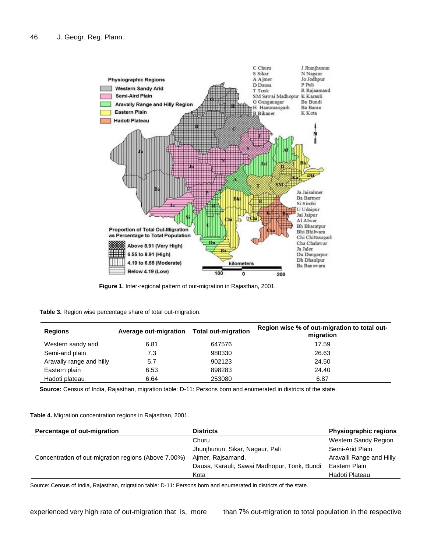

**Figure 1.** Inter-regional pattern of out-migration in Rajasthan, 2001.

| Table 3. Region wise percentage share of total out-migration. |  |  |
|---------------------------------------------------------------|--|--|
|---------------------------------------------------------------|--|--|

| <b>Regions</b>           | Average out-migration | <b>Total out-migration</b> | Region wise % of out-migration to total out-<br>migration |
|--------------------------|-----------------------|----------------------------|-----------------------------------------------------------|
| Western sandy arid       | 6.81                  | 647576                     | 17.59                                                     |
| Semi-arid plain          | 7.3                   | 980330                     | 26.63                                                     |
| Aravally range and hilly | 5.7                   | 902123                     | 24.50                                                     |
| Eastern plain            | 6.53                  | 898283                     | 24.40                                                     |
| Hadoti plateau           | 6.64                  | 253080                     | 6.87                                                      |

**Source:** Census of India, Rajasthan, migration table: D-11: Persons born and enumerated in districts of the state.

**Table 4.** Migration concentration regions in Rajasthan, 2001.

| Percentage of out-migration                          | <b>Districts</b>                            | <b>Physiographic regions</b> |
|------------------------------------------------------|---------------------------------------------|------------------------------|
|                                                      | Churu                                       | Western Sandy Region         |
|                                                      | Jhunjhunun, Sikar, Nagaur, Pali             | Semi-Arid Plain              |
| Concentration of out-migration regions (Above 7.00%) | Aimer, Raisamand,                           | Aravalli Range and Hilly     |
|                                                      | Dausa, Karauli, Sawai Madhopur, Tonk, Bundi | Eastern Plain                |
|                                                      | Kota                                        | Hadoti Plateau               |

Source: Census of India, Rajasthan, migration table: D-11: Persons born and enumerated in districts of the state.

experienced very high rate of out-migration that is, more than 7% out-migration to total population in the respective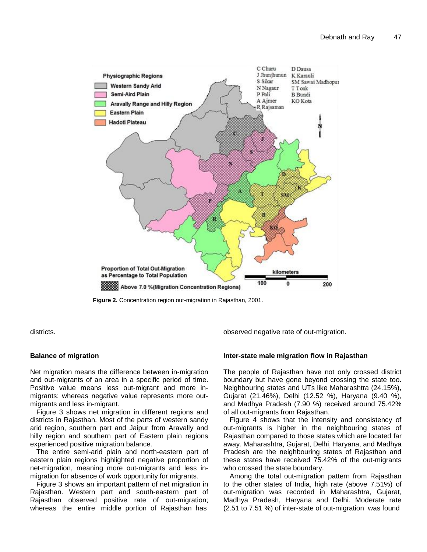

**Figure 2.** Concentration region out-migration in Rajasthan, 2001.

districts.

#### **Balance of migration**

Net migration means the difference between in-migration and out-migrants of an area in a specific period of time. Positive value means less out-migrant and more inmigrants; whereas negative value represents more outmigrants and less in-migrant.

Figure 3 shows net migration in different regions and districts in Rajasthan. Most of the parts of western sandy arid region, southern part and Jaipur from Aravally and hilly region and southern part of Eastern plain regions experienced positive migration balance.

The entire semi-arid plain and north-eastern part of eastern plain regions highlighted negative proportion of net-migration, meaning more out-migrants and less inmigration for absence of work opportunity for migrants.

Figure 3 shows an important pattern of net migration in Rajasthan. Western part and south-eastern part of Rajasthan observed positive rate of out-migration; whereas the entire middle portion of Rajasthan has

observed negative rate of out-migration.

#### **Inter-state male migration flow in Rajasthan**

The people of Rajasthan have not only crossed district boundary but have gone beyond crossing the state too. Neighbouring states and UTs like Maharashtra (24.15%), Gujarat (21.46%), Delhi (12.52 %), Haryana (9.40 %), and Madhya Pradesh (7.90 %) received around 75.42% of all out-migrants from Rajasthan.

Figure 4 shows that the intensity and consistency of out-migrants is higher in the neighbouring states of Rajasthan compared to those states which are located far away. Maharashtra, Gujarat, Delhi, Haryana, and Madhya Pradesh are the neighbouring states of Rajasthan and these states have received 75.42% of the out-migrants who crossed the state boundary.

Among the total out-migration pattern from Rajasthan to the other states of India, high rate (above 7.51%) of out-migration was recorded in Maharashtra, Gujarat, Madhya Pradesh, Haryana and Delhi. Moderate rate (2.51 to 7.51 %) of inter-state of out-migration was found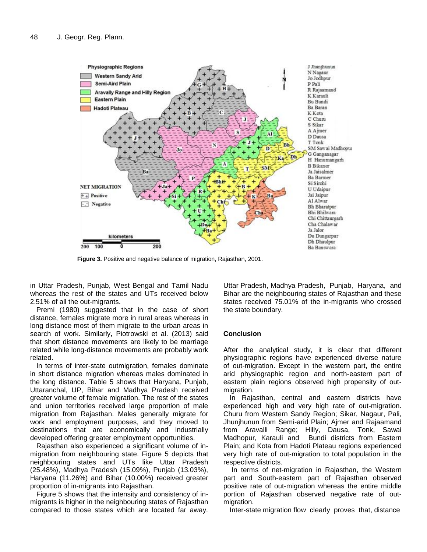

**Figure 3.** Positive and negative balance of migration, Rajasthan, 2001.

in Uttar Pradesh, Punjab, West Bengal and Tamil Nadu whereas the rest of the states and UTs received below 2.51% of all the out-migrants.

Premi (1980) suggested that in the case of short distance, females migrate more in rural areas whereas in long distance most of them migrate to the urban areas in search of work. Similarly, Piotrowski et al. (2013) said that short distance movements are likely to be marriage related while long-distance movements are probably work related.

In terms of inter-state outmigration, females dominate in short distance migration whereas males dominated in the long distance. Table 5 shows that Haryana, Punjab, Uttaranchal, UP, Bihar and Madhya Pradesh received greater volume of female migration. The rest of the states and union territories received large proportion of male migration from Rajasthan. Males generally migrate for work and employment purposes, and they moved to destinations that are economically and industrially developed offering greater employment opportunities.

Rajasthan also experienced a significant volume of inmigration from neighbouring state. Figure 5 depicts that neighbouring states and UTs like Uttar Pradesh (25.48%), Madhya Pradesh (15.09%), Punjab (13.03%), Haryana (11.26%) and Bihar (10.00%) received greater proportion of in-migrants into Rajasthan.

Figure 5 shows that the intensity and consistency of inmigrants is higher in the neighbouring states of Rajasthan compared to those states which are located far away. Uttar Pradesh, Madhya Pradesh, Punjab, Haryana, and Bihar are the neighbouring states of Rajasthan and these states received 75.01% of the in-migrants who crossed the state boundary.

#### **Conclusion**

After the analytical study, it is clear that different physiographic regions have experienced diverse nature of out-migration. Except in the western part, the entire arid physiographic region and north-eastern part of eastern plain regions observed high propensity of outmigration.

In Rajasthan, central and eastern districts have experienced high and very high rate of out-migration. Churu from Western Sandy Region; Sikar, Nagaur, Pali, Jhunjhunun from Semi-arid Plain; Ajmer and Rajaamand from Aravalli Range; Hilly, Dausa, Tonk, Sawai Madhopur, Karauli and Bundi districts from Eastern Plain; and Kota from Hadoti Plateau regions experienced very high rate of out-migration to total population in the respective districts.

In terms of net-migration in Rajasthan, the Western part and South-eastern part of Rajasthan observed positive rate of out-migration whereas the entire middle portion of Rajasthan observed negative rate of outmigration.

Inter-state migration flow clearly proves that, distance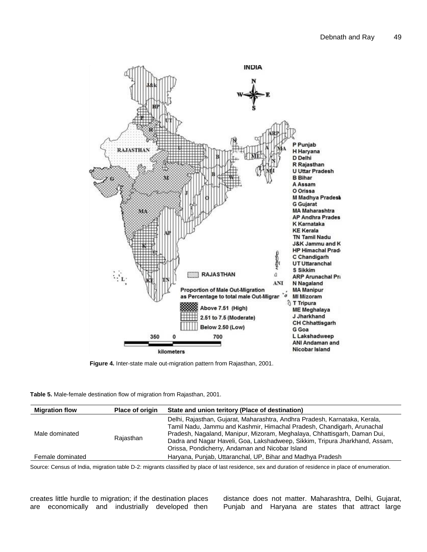

**Figure 4.** Inter-state male out-migration pattern from Rajasthan, 2001.

| <b>Table 5.</b> Male-female destination flow of migration from Rajasthan, 2001. |  |  |
|---------------------------------------------------------------------------------|--|--|

| <b>Migration flow</b> | <b>Place of origin</b> | State and union teritory (Place of destination)                                                                                                                                                                                                                                                                                                                    |
|-----------------------|------------------------|--------------------------------------------------------------------------------------------------------------------------------------------------------------------------------------------------------------------------------------------------------------------------------------------------------------------------------------------------------------------|
| Male dominated        | Rajasthan              | Delhi, Rajasthan, Gujarat, Maharashtra, Andhra Pradesh, Karnataka, Kerala,<br>Tamil Nadu, Jammu and Kashmir, Himachal Pradesh, Chandigarh, Arunachal<br>Pradesh, Nagaland, Manipur, Mizoram, Meghalaya, Chhattisgarh, Daman Dui,<br>Dadra and Nagar Haveli, Goa, Lakshadweep, Sikkim, Tripura Jharkhand, Assam,<br>Orissa, Pondicherry, Andaman and Nicobar Island |
| Female dominated      |                        | Haryana, Punjab, Uttaranchal, UP, Bihar and Madhya Pradesh                                                                                                                                                                                                                                                                                                         |

Source: Census of India, migration table D-2: migrants classified by place of last residence, sex and duration of residence in place of enumeration.

creates little hurdle to migration; if the destination places are economically and industrially developed then distance does not matter. Maharashtra, Delhi, Gujarat, Punjab and Haryana are states that attract large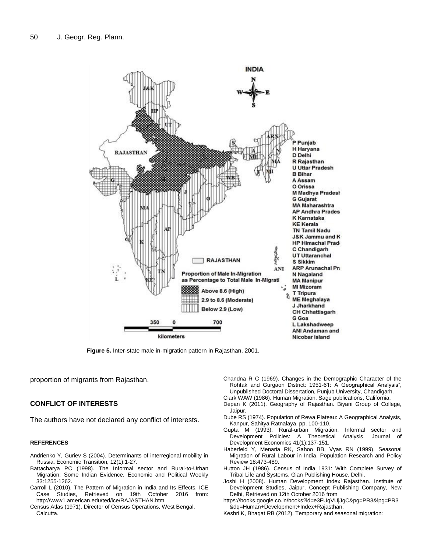

**Figure 5.** Inter-state male in-migration pattern in Rajasthan, 2001.

proportion of migrants from Rajasthan.

#### **CONFLICT OF INTERESTS**

The authors have not declared any conflict of interests.

#### **REFERENCES**

- Andrienko Y, Guriev S (2004). Determinants of interregional mobility in Russia. Economic Transition, 12(1):1-27.
- Battacharya PC (1998). The Informal sector and Rural-to-Urban Migration: Some Indian Evidence. Economic and Political Weekly 33:1255-1262.
- Carroll L (2010). The Pattern of Migration in India and Its Effects. ICE Case Studies, Retrieved on 19th October 2016 from: <http://www1.american.edu/ted/ice/RAJASTHAN.htm>
- Census Atlas (1971). Director of Census Operations, West Bengal, Calcutta.
- Chandna R C (1969). Changes in the Demographic Character of the Rohtak and Gurgaon District: 1951-61: A Geographical Analysis", Unpublished Doctoral Dissertation, Punjub University, Chandigarh.
- Clark WAW (1986). Human Migration. Sage publications, California.
- Depan K (2011). Geography of Rajasthan. Biyani Group of College, Jaipur.
- Dube RS (1974). Population of Rewa Plateau: A Geographical Analysis, Kanpur, Sahitya Ratnalaya, pp. 100-110.
- Gupta M (1993). Rural-urban Migration, Informal sector and Development Policies: A Theoretical Analysis. Journal of Development Economics 41(1):137-151.
- Haberfeld Y, Menaria RK, Sahoo BB, Vyas RN (1999). Seasonal Migration of Rural Labour in India. Population Research and Policy Review 18:473-489.
- Hutton JH (1986). Census of India 1931: With Complete Survey of Tribal Life and Systems. Gian Publishing House, Delhi.
- Joshi H (2008). Human Development Index Rajasthan. Institute of Development Studies, Jaipur, Concept Publishing Company, New Delhi, Retrieved on 12th October 2016 from
- [https://books.google.co.in/books?id=e3FUqVUjJgC&pg=PR3&lpg=PR3](https://books.google.co.in/books?id=e3FUqVUjJgC&pg=PR3&lpg=PR3&dq=Human+Development+Index+Rajasthan) [&dq=Human+Development+Index+Rajasthan.](https://books.google.co.in/books?id=e3FUqVUjJgC&pg=PR3&lpg=PR3&dq=Human+Development+Index+Rajasthan)
- Keshri K, Bhagat RB (2012). Temporary and seasonal migration: